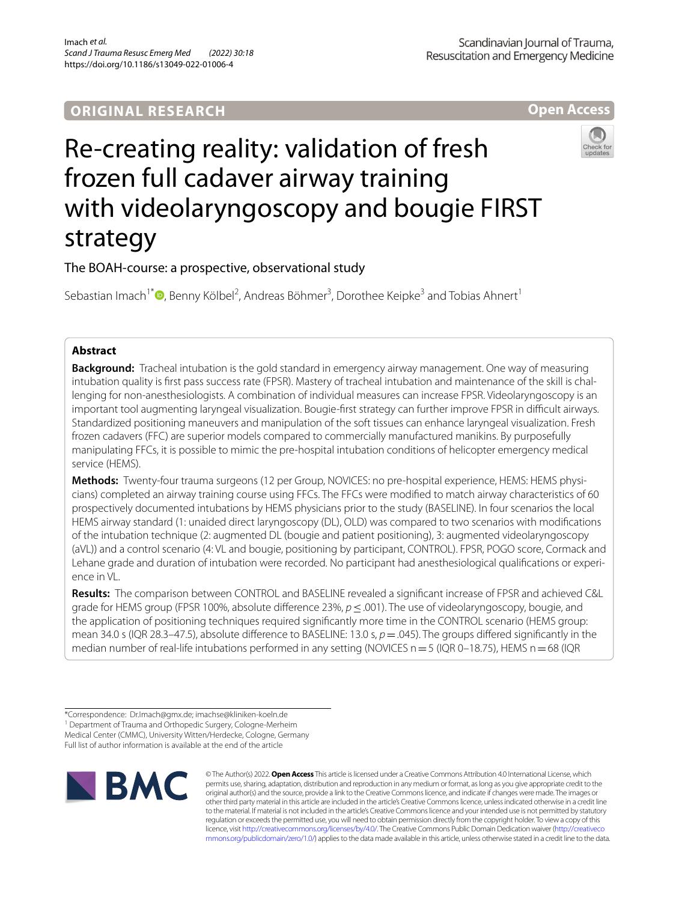**Open Access**

# Re-creating reality: validation of fresh frozen full cadaver airway training with videolaryngoscopy and bougie FIRST strategy



## The BOAH-course: a prospective, observational study

Sebastian Imach<sup>1\*</sup><sup>®</sup>[,](http://orcid.org/0000-0002-8879-9050) Benny Kölbel<sup>2</sup>, Andreas Böhmer<sup>3</sup>, Dorothee Keipke<sup>3</sup> and Tobias Ahnert<sup>1</sup>

## **Abstract**

**Background:** Tracheal intubation is the gold standard in emergency airway management. One way of measuring intubation quality is frst pass success rate (FPSR). Mastery of tracheal intubation and maintenance of the skill is challenging for non-anesthesiologists. A combination of individual measures can increase FPSR. Videolaryngoscopy is an important tool augmenting laryngeal visualization. Bougie-frst strategy can further improve FPSR in difcult airways. Standardized positioning maneuvers and manipulation of the soft tissues can enhance laryngeal visualization. Fresh frozen cadavers (FFC) are superior models compared to commercially manufactured manikins. By purposefully manipulating FFCs, it is possible to mimic the pre-hospital intubation conditions of helicopter emergency medical service (HEMS).

**Methods:** Twenty-four trauma surgeons (12 per Group, NOVICES: no pre-hospital experience, HEMS: HEMS physicians) completed an airway training course using FFCs. The FFCs were modifed to match airway characteristics of 60 prospectively documented intubations by HEMS physicians prior to the study (BASELINE). In four scenarios the local HEMS airway standard (1: unaided direct laryngoscopy (DL), OLD) was compared to two scenarios with modifcations of the intubation technique (2: augmented DL (bougie and patient positioning), 3: augmented videolaryngoscopy (aVL)) and a control scenario (4: VL and bougie, positioning by participant, CONTROL). FPSR, POGO score, Cormack and Lehane grade and duration of intubation were recorded. No participant had anesthesiological qualifcations or experience in VL.

**Results:** The comparison between CONTROL and BASELINE revealed a signifcant increase of FPSR and achieved C&L grade for HEMS group (FPSR 100%, absolute diference 23%, *p*≤.001). The use of videolaryngoscopy, bougie, and the application of positioning techniques required signifcantly more time in the CONTROL scenario (HEMS group: mean 34.0 s (IQR 28.3–47.5), absolute difference to BASELINE: 13.0 s,  $p = .045$ ). The groups differed significantly in the median number of real-life intubations performed in any setting (NOVICES  $n=5$  (IQR 0–18.75), HEMS  $n=68$  (IQR

<sup>1</sup> Department of Trauma and Orthopedic Surgery, Cologne-Merheim Medical Center (CMMC), University Witten/Herdecke, Cologne, Germany Full list of author information is available at the end of the article



© The Author(s) 2022. **Open Access** This article is licensed under a Creative Commons Attribution 4.0 International License, which permits use, sharing, adaptation, distribution and reproduction in any medium or format, as long as you give appropriate credit to the original author(s) and the source, provide a link to the Creative Commons licence, and indicate if changes were made. The images or other third party material in this article are included in the article's Creative Commons licence, unless indicated otherwise in a credit line to the material. If material is not included in the article's Creative Commons licence and your intended use is not permitted by statutory regulation or exceeds the permitted use, you will need to obtain permission directly from the copyright holder. To view a copy of this licence, visit [http://creativecommons.org/licenses/by/4.0/.](http://creativecommons.org/licenses/by/4.0/) The Creative Commons Public Domain Dedication waiver ([http://creativeco](http://creativecommons.org/publicdomain/zero/1.0/) [mmons.org/publicdomain/zero/1.0/](http://creativecommons.org/publicdomain/zero/1.0/)) applies to the data made available in this article, unless otherwise stated in a credit line to the data.

<sup>\*</sup>Correspondence: Dr.Imach@gmx.de; imachse@kliniken-koeln.de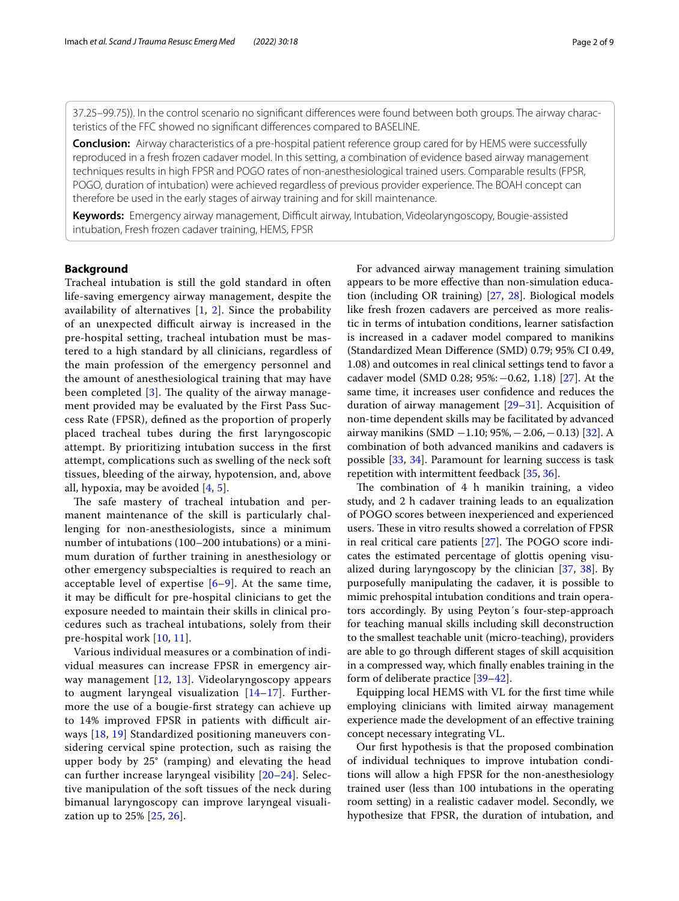37.25–99.75)). In the control scenario no signifcant diferences were found between both groups. The airway characteristics of the FFC showed no signifcant diferences compared to BASELINE.

**Conclusion:** Airway characteristics of a pre-hospital patient reference group cared for by HEMS were successfully reproduced in a fresh frozen cadaver model. In this setting, a combination of evidence based airway management techniques results in high FPSR and POGO rates of non-anesthesiological trained users. Comparable results (FPSR, POGO, duration of intubation) were achieved regardless of previous provider experience. The BOAH concept can therefore be used in the early stages of airway training and for skill maintenance.

Keywords: Emergency airway management, Difficult airway, Intubation, Videolaryngoscopy, Bougie-assisted intubation, Fresh frozen cadaver training, HEMS, FPSR

## **Background**

Tracheal intubation is still the gold standard in often life-saving emergency airway management, despite the availability of alternatives [[1,](#page-7-0) [2](#page-7-1)]. Since the probability of an unexpected difficult airway is increased in the pre-hospital setting, tracheal intubation must be mastered to a high standard by all clinicians, regardless of the main profession of the emergency personnel and the amount of anesthesiological training that may have been completed  $[3]$  $[3]$ . The quality of the airway management provided may be evaluated by the First Pass Success Rate (FPSR), defned as the proportion of properly placed tracheal tubes during the frst laryngoscopic attempt. By prioritizing intubation success in the frst attempt, complications such as swelling of the neck soft tissues, bleeding of the airway, hypotension, and, above all, hypoxia, may be avoided  $[4, 5]$  $[4, 5]$  $[4, 5]$ .

The safe mastery of tracheal intubation and permanent maintenance of the skill is particularly challenging for non-anesthesiologists, since a minimum number of intubations (100–200 intubations) or a minimum duration of further training in anesthesiology or other emergency subspecialties is required to reach an acceptable level of expertise [\[6](#page-7-5)[–9](#page-7-6)]. At the same time, it may be difficult for pre-hospital clinicians to get the exposure needed to maintain their skills in clinical procedures such as tracheal intubations, solely from their pre-hospital work [\[10,](#page-7-7) [11](#page-7-8)].

Various individual measures or a combination of individual measures can increase FPSR in emergency airway management [\[12](#page-7-9), [13](#page-8-0)]. Videolaryngoscopy appears to augment laryngeal visualization [\[14](#page-8-1)[–17](#page-8-2)]. Furthermore the use of a bougie-frst strategy can achieve up to 14% improved FPSR in patients with difficult airways [[18](#page-8-3), [19](#page-8-4)] Standardized positioning maneuvers considering cervical spine protection, such as raising the upper body by 25° (ramping) and elevating the head can further increase laryngeal visibility [\[20](#page-8-5)[–24](#page-8-6)]. Selective manipulation of the soft tissues of the neck during bimanual laryngoscopy can improve laryngeal visualization up to 25% [[25,](#page-8-7) [26\]](#page-8-8).

For advanced airway management training simulation appears to be more efective than non-simulation education (including OR training) [\[27,](#page-8-9) [28\]](#page-8-10). Biological models like fresh frozen cadavers are perceived as more realistic in terms of intubation conditions, learner satisfaction is increased in a cadaver model compared to manikins (Standardized Mean Diference (SMD) 0.79; 95% CI 0.49, 1.08) and outcomes in real clinical settings tend to favor a cadaver model (SMD 0.28; 95%:−0.62, 1.18) [\[27](#page-8-9)]. At the same time, it increases user confdence and reduces the duration of airway management  $[29-31]$  $[29-31]$  $[29-31]$ . Acquisition of non-time dependent skills may be facilitated by advanced airway manikins (SMD −1.10; 95%,−2.06,−0.13) [\[32\]](#page-8-13). A combination of both advanced manikins and cadavers is possible [\[33](#page-8-14), [34](#page-8-15)]. Paramount for learning success is task repetition with intermittent feedback [[35,](#page-8-16) [36](#page-8-17)].

The combination of  $4$  h manikin training, a video study, and 2 h cadaver training leads to an equalization of POGO scores between inexperienced and experienced users. These in vitro results showed a correlation of FPSR in real critical care patients  $[27]$  $[27]$ . The POGO score indicates the estimated percentage of glottis opening visualized during laryngoscopy by the clinician [\[37](#page-8-18), [38](#page-8-19)]. By purposefully manipulating the cadaver, it is possible to mimic prehospital intubation conditions and train operators accordingly. By using Peyton´s four-step-approach for teaching manual skills including skill deconstruction to the smallest teachable unit (micro-teaching), providers are able to go through diferent stages of skill acquisition in a compressed way, which fnally enables training in the form of deliberate practice [\[39](#page-8-20)[–42\]](#page-8-21).

Equipping local HEMS with VL for the frst time while employing clinicians with limited airway management experience made the development of an efective training concept necessary integrating VL.

Our frst hypothesis is that the proposed combination of individual techniques to improve intubation conditions will allow a high FPSR for the non-anesthesiology trained user (less than 100 intubations in the operating room setting) in a realistic cadaver model. Secondly, we hypothesize that FPSR, the duration of intubation, and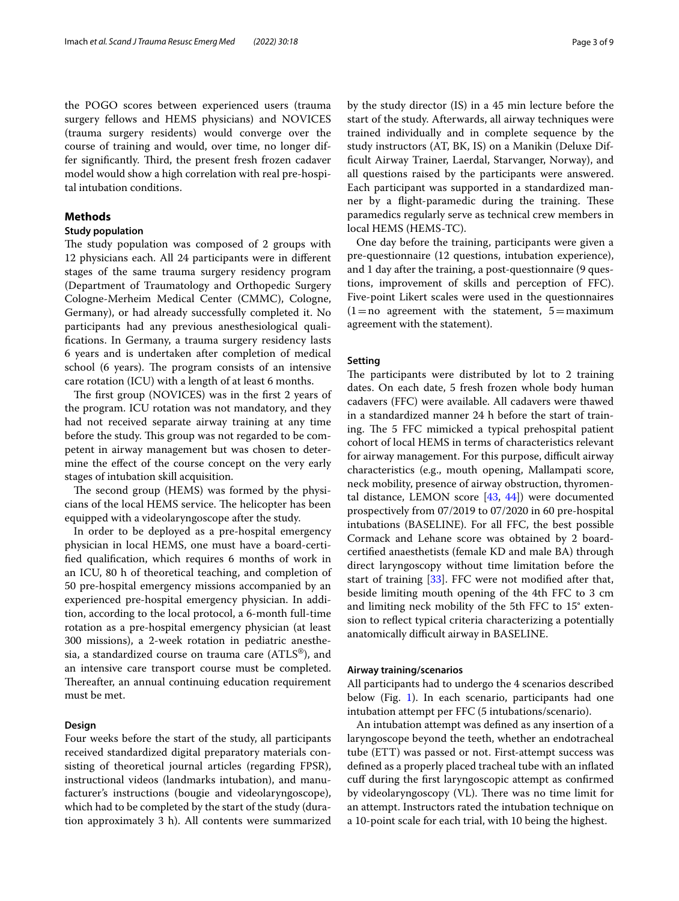the POGO scores between experienced users (trauma surgery fellows and HEMS physicians) and NOVICES (trauma surgery residents) would converge over the course of training and would, over time, no longer differ significantly. Third, the present fresh frozen cadaver model would show a high correlation with real pre-hospital intubation conditions.

## **Methods**

#### **Study population**

The study population was composed of 2 groups with 12 physicians each. All 24 participants were in diferent stages of the same trauma surgery residency program (Department of Traumatology and Orthopedic Surgery Cologne-Merheim Medical Center (CMMC), Cologne, Germany), or had already successfully completed it. No participants had any previous anesthesiological qualifcations. In Germany, a trauma surgery residency lasts 6 years and is undertaken after completion of medical school (6 years). The program consists of an intensive care rotation (ICU) with a length of at least 6 months.

The first group (NOVICES) was in the first 2 years of the program. ICU rotation was not mandatory, and they had not received separate airway training at any time before the study. This group was not regarded to be competent in airway management but was chosen to determine the efect of the course concept on the very early stages of intubation skill acquisition.

The second group (HEMS) was formed by the physicians of the local HEMS service. The helicopter has been equipped with a videolaryngoscope after the study.

In order to be deployed as a pre-hospital emergency physician in local HEMS, one must have a board-certifed qualifcation, which requires 6 months of work in an ICU, 80 h of theoretical teaching, and completion of 50 pre-hospital emergency missions accompanied by an experienced pre-hospital emergency physician. In addition, according to the local protocol, a 6-month full-time rotation as a pre-hospital emergency physician (at least 300 missions), a 2-week rotation in pediatric anesthesia, a standardized course on trauma care  $(ATLS^{\circledast})$ , and an intensive care transport course must be completed. Thereafter, an annual continuing education requirement must be met.

## **Design**

Four weeks before the start of the study, all participants received standardized digital preparatory materials consisting of theoretical journal articles (regarding FPSR), instructional videos (landmarks intubation), and manufacturer's instructions (bougie and videolaryngoscope), which had to be completed by the start of the study (duration approximately 3 h). All contents were summarized by the study director (IS) in a 45 min lecture before the start of the study. Afterwards, all airway techniques were trained individually and in complete sequence by the study instructors (AT, BK, IS) on a Manikin (Deluxe Diffcult Airway Trainer, Laerdal, Starvanger, Norway), and all questions raised by the participants were answered. Each participant was supported in a standardized manner by a flight-paramedic during the training. These paramedics regularly serve as technical crew members in local HEMS (HEMS-TC).

One day before the training, participants were given a pre-questionnaire (12 questions, intubation experience), and 1 day after the training, a post-questionnaire (9 questions, improvement of skills and perception of FFC). Five-point Likert scales were used in the questionnaires  $(1=no$  agreement with the statement,  $5=$  maximum agreement with the statement).

## **Setting**

The participants were distributed by lot to 2 training dates. On each date, 5 fresh frozen whole body human cadavers (FFC) were available. All cadavers were thawed in a standardized manner 24 h before the start of training. The 5 FFC mimicked a typical prehospital patient cohort of local HEMS in terms of characteristics relevant for airway management. For this purpose, difficult airway characteristics (e.g., mouth opening, Mallampati score, neck mobility, presence of airway obstruction, thyromental distance, LEMON score [\[43](#page-8-22), [44](#page-8-23)]) were documented prospectively from 07/2019 to 07/2020 in 60 pre-hospital intubations (BASELINE). For all FFC, the best possible Cormack and Lehane score was obtained by 2 boardcertifed anaesthetists (female KD and male BA) through direct laryngoscopy without time limitation before the start of training [[33](#page-8-14)]. FFC were not modifed after that, beside limiting mouth opening of the 4th FFC to 3 cm and limiting neck mobility of the 5th FFC to 15° extension to refect typical criteria characterizing a potentially anatomically difficult airway in BASELINE.

#### **Airway training/scenarios**

All participants had to undergo the 4 scenarios described below (Fig. [1](#page-3-0)). In each scenario, participants had one intubation attempt per FFC (5 intubations/scenario).

An intubation attempt was defned as any insertion of a laryngoscope beyond the teeth, whether an endotracheal tube (ETT) was passed or not. First-attempt success was defned as a properly placed tracheal tube with an infated cuf during the frst laryngoscopic attempt as confrmed by videolaryngoscopy (VL). There was no time limit for an attempt. Instructors rated the intubation technique on a 10-point scale for each trial, with 10 being the highest.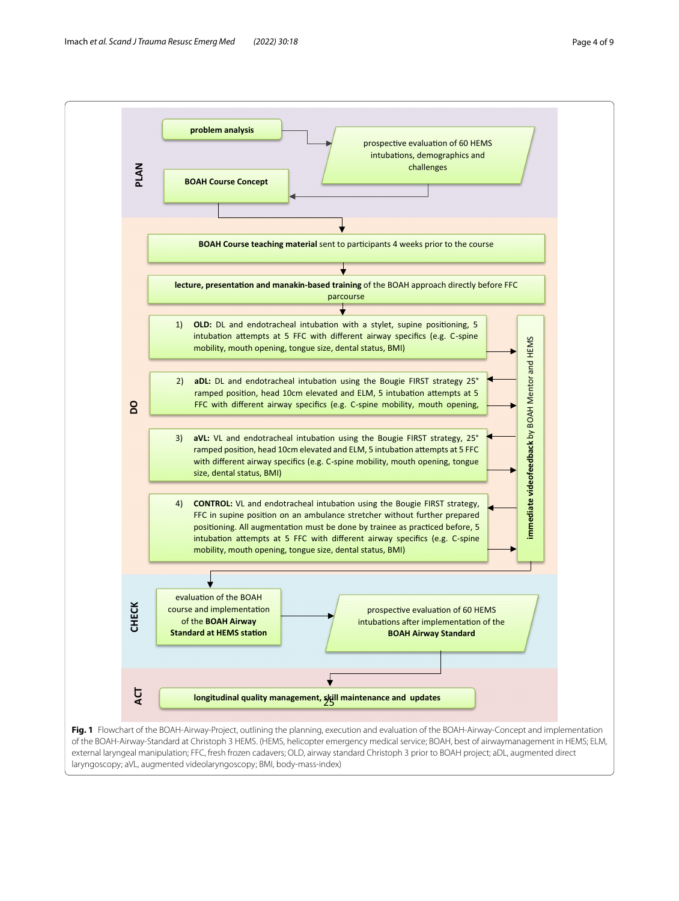<span id="page-3-0"></span>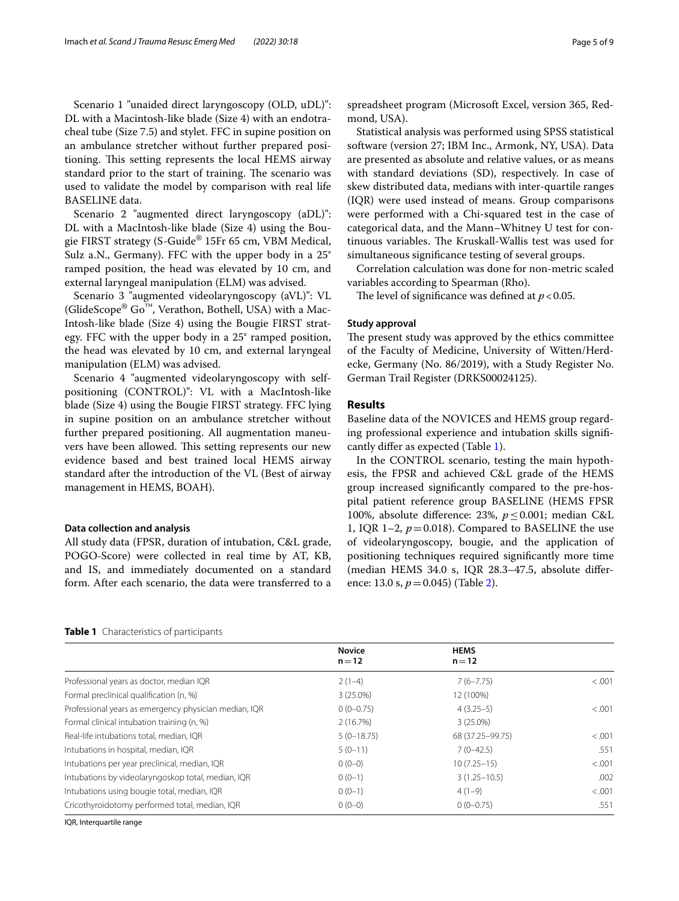Scenario 1 "unaided direct laryngoscopy (OLD, uDL)": DL with a Macintosh-like blade (Size 4) with an endotracheal tube (Size 7.5) and stylet. FFC in supine position on an ambulance stretcher without further prepared positioning. This setting represents the local HEMS airway standard prior to the start of training. The scenario was used to validate the model by comparison with real life BASELINE data.

Scenario 2 "augmented direct laryngoscopy (aDL)": DL with a MacIntosh-like blade (Size 4) using the Bougie FIRST strategy (S-Guide® 15Fr 65 cm, VBM Medical, Sulz a.N., Germany). FFC with the upper body in a 25° ramped position, the head was elevated by 10 cm, and external laryngeal manipulation (ELM) was advised.

Scenario 3 "augmented videolaryngoscopy (aVL)": VL (GlideScope®  $Go^{\mathbb{N}}$ , Verathon, Bothell, USA) with a Mac-Intosh-like blade (Size 4) using the Bougie FIRST strategy. FFC with the upper body in a 25° ramped position, the head was elevated by 10 cm, and external laryngeal manipulation (ELM) was advised.

Scenario 4 "augmented videolaryngoscopy with selfpositioning (CONTROL)": VL with a MacIntosh-like blade (Size 4) using the Bougie FIRST strategy. FFC lying in supine position on an ambulance stretcher without further prepared positioning. All augmentation maneuvers have been allowed. This setting represents our new evidence based and best trained local HEMS airway standard after the introduction of the VL (Best of airway management in HEMS, BOAH).

#### **Data collection and analysis**

All study data (FPSR, duration of intubation, C&L grade, POGO-Score) were collected in real time by AT, KB, and IS, and immediately documented on a standard form. After each scenario, the data were transferred to a

spreadsheet program (Microsoft Excel, version 365, Redmond, USA).

Statistical analysis was performed using SPSS statistical software (version 27; IBM Inc., Armonk, NY, USA). Data are presented as absolute and relative values, or as means with standard deviations (SD), respectively. In case of skew distributed data, medians with inter-quartile ranges (IQR) were used instead of means. Group comparisons were performed with a Chi-squared test in the case of categorical data, and the Mann–Whitney U test for continuous variables. The Kruskall-Wallis test was used for simultaneous signifcance testing of several groups.

Correlation calculation was done for non-metric scaled variables according to Spearman (Rho).

The level of significance was defined at  $p < 0.05$ .

#### **Study approval**

The present study was approved by the ethics committee of the Faculty of Medicine, University of Witten/Herdecke, Germany (No. 86/2019), with a Study Register No. German Trail Register (DRKS00024125).

## **Results**

Baseline data of the NOVICES and HEMS group regarding professional experience and intubation skills signifcantly difer as expected (Table [1](#page-4-0)).

In the CONTROL scenario, testing the main hypothesis, the FPSR and achieved C&L grade of the HEMS group increased signifcantly compared to the pre-hospital patient reference group BASELINE (HEMS FPSR 100%, absolute diference: 23%, *p*≤0.001; median C&L 1, IQR 1–2,  $p = 0.018$ ). Compared to BASELINE the use of videolaryngoscopy, bougie, and the application of positioning techniques required signifcantly more time (median HEMS 34.0 s, IQR 28.3–47.5, absolute diference: 13.0 s, *p*=0.045) (Table [2](#page-5-0)).

<span id="page-4-0"></span>

|  | Table 1 Characteristics of participants |  |
|--|-----------------------------------------|--|
|--|-----------------------------------------|--|

**Novice n**=**12 HEMS n**=**12** Professional years as doctor, median IQR  $2(1-4)$   $7(6-7.75)$   $<.001$ Formal preclinical qualifcation (n, %) 3 (25.0%) 12 (100%) Professional years as emergency physician median, IQR 0 (0–0.75) 4 (3.25–5) 4 (3.25–5) 4 (3.25–6) Formal clinical intubation training (n, %) 2 (16.7%) 3 (25.0%) Real-life intubations total, median, IQR 5 (0–18.75) 68 (37.25–99.75) <.001 Intubations in hospital, median, IQR  $5(0-11)$   $7(0-42.5)$  .551 Intubations per year preclinical, median, IQR 0 (0–0) 10 (7.25–15) <.001 Intubations by videolaryngoskop total, median, IQR 0 (0-1) 3 (1.25–10.5) 002  $Intubations using 6001 (1–9)$  and  $Intubations 1001 (1–9)$  and  $Intubations 1001 (1–9)$  and  $Intubations 1001 (1–9)$  and  $Intubations 1001 (1–9)$ Cricothyroidotomy performed total, median, IQR 0 (0-0) 0 00-0.00 0 (0-0.75) 0 (0-0.75) .551

IQR, Interquartile range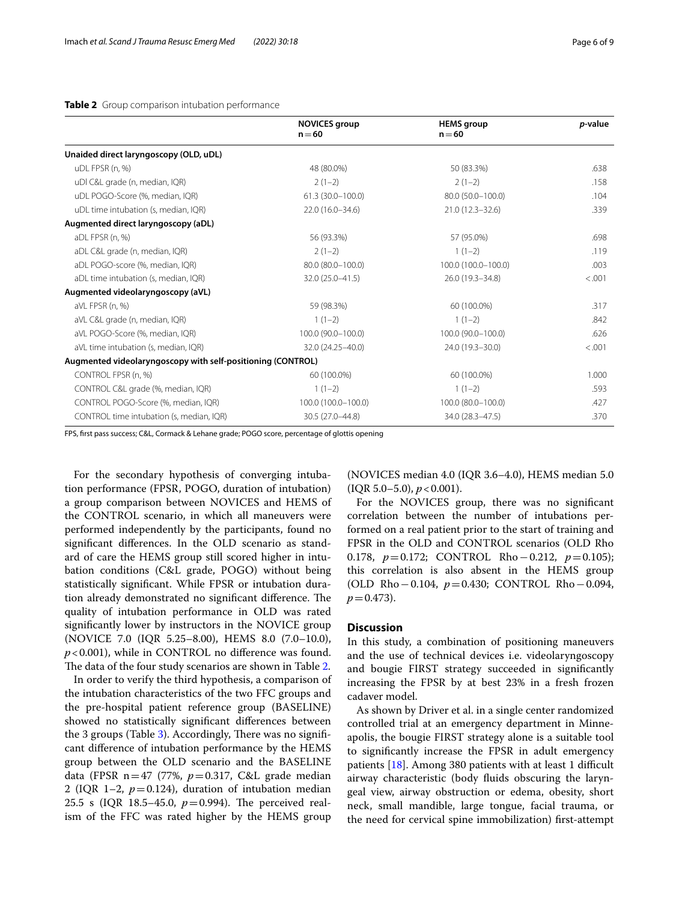#### <span id="page-5-0"></span>**Table 2** Group comparison intubation performance

|                                                             | <b>NOVICES group</b><br>$n = 60$ | <b>HEMS</b> group<br>$n = 60$ | <i>p</i> -value |
|-------------------------------------------------------------|----------------------------------|-------------------------------|-----------------|
| Unaided direct laryngoscopy (OLD, uDL)                      |                                  |                               |                 |
| uDL FPSR (n, %)                                             | 48 (80.0%)                       | 50 (83.3%)                    | .638            |
| uDI C&L grade (n, median, IQR)                              | $2(1-2)$                         | $2(1-2)$                      | .158            |
| uDL POGO-Score (%, median, IQR)                             | 61.3 (30.0-100.0)                | 80.0 (50.0-100.0)             | .104            |
| uDL time intubation (s, median, IQR)                        | 22.0 (16.0-34.6)                 | $21.0(12.3 - 32.6)$           | .339            |
| Augmented direct laryngoscopy (aDL)                         |                                  |                               |                 |
| aDL FPSR (n, %)                                             | 56 (93.3%)                       | 57 (95.0%)                    | .698            |
| aDL C&L grade (n, median, IQR)                              | $2(1-2)$                         | $1(1-2)$                      | .119            |
| aDL POGO-score (%, median, IQR)                             | 80.0 (80.0-100.0)                | 100.0 (100.0-100.0)           | .003            |
| aDL time intubation (s, median, IQR)                        | 32.0 (25.0-41.5)                 | 26.0 (19.3-34.8)              | < 0.001         |
| Augmented videolaryngoscopy (aVL)                           |                                  |                               |                 |
| aVL FPSR (n, %)                                             | 59 (98.3%)                       | 60 (100.0%)                   | .317            |
| aVL C&L grade (n, median, IQR)                              | $1(1-2)$                         | $1(1-2)$                      | .842            |
| aVL POGO-Score (%, median, IQR)                             | 100.0 (90.0-100.0)               | 100.0 (90.0-100.0)            | .626            |
| aVL time intubation (s, median, IQR)                        | 32.0 (24.25-40.0)                | 24.0 (19.3-30.0)              | < 0.001         |
| Augmented videolaryngoscopy with self-positioning (CONTROL) |                                  |                               |                 |
| CONTROL FPSR (n, %)                                         | 60 (100.0%)                      | 60 (100.0%)                   | 1.000           |
| CONTROL C&L grade (%, median, IQR)                          | $1(1-2)$                         | $1(1-2)$                      | .593            |
| CONTROL POGO-Score (%, median, IQR)                         | 100.0 (100.0-100.0)              | 100.0 (80.0-100.0)            | .427            |
| CONTROL time intubation (s, median, IQR)                    | 30.5 (27.0-44.8)                 | 34.0 (28.3-47.5)              | .370            |

FPS, frst pass success; C&L, Cormack & Lehane grade; POGO score, percentage of glottis opening

For the secondary hypothesis of converging intubation performance (FPSR, POGO, duration of intubation) a group comparison between NOVICES and HEMS of the CONTROL scenario, in which all maneuvers were performed independently by the participants, found no signifcant diferences. In the OLD scenario as standard of care the HEMS group still scored higher in intubation conditions (C&L grade, POGO) without being statistically signifcant. While FPSR or intubation duration already demonstrated no significant difference. The quality of intubation performance in OLD was rated signifcantly lower by instructors in the NOVICE group (NOVICE 7.0 (IQR 5.25–8.00), HEMS 8.0 (7.0–10.0), *p*<0.001), while in CONTROL no diference was found. The data of the four study scenarios are shown in Table [2.](#page-5-0)

In order to verify the third hypothesis, a comparison of the intubation characteristics of the two FFC groups and the pre-hospital patient reference group (BASELINE) showed no statistically signifcant diferences between the [3](#page-6-0) groups (Table  $3$ ). Accordingly, There was no significant diference of intubation performance by the HEMS group between the OLD scenario and the BASELINE data (FPSR n=47 (77%, *p*=0.317, C&L grade median 2 (IQR 1-2,  $p=0.124$ ), duration of intubation median 25.5 s (IQR 18.5-45.0,  $p=0.994$ ). The perceived realism of the FFC was rated higher by the HEMS group

(NOVICES median 4.0 (IQR 3.6–4.0), HEMS median 5.0  $(IQR 5.0-5.0), p < 0.001$ ).

For the NOVICES group, there was no signifcant correlation between the number of intubations performed on a real patient prior to the start of training and FPSR in the OLD and CONTROL scenarios (OLD Rho 0.178, *p*=0.172; CONTROL Rho−0.212, *p*=0.105); this correlation is also absent in the HEMS group (OLD Rho−0.104, *p*=0.430; CONTROL Rho−0.094,  $p = 0.473$ .

## **Discussion**

In this study, a combination of positioning maneuvers and the use of technical devices i.e. videolaryngoscopy and bougie FIRST strategy succeeded in signifcantly increasing the FPSR by at best 23% in a fresh frozen cadaver model.

As shown by Driver et al. in a single center randomized controlled trial at an emergency department in Minneapolis, the bougie FIRST strategy alone is a suitable tool to signifcantly increase the FPSR in adult emergency patients  $[18]$ . Among 380 patients with at least 1 difficult airway characteristic (body fuids obscuring the laryngeal view, airway obstruction or edema, obesity, short neck, small mandible, large tongue, facial trauma, or the need for cervical spine immobilization) frst-attempt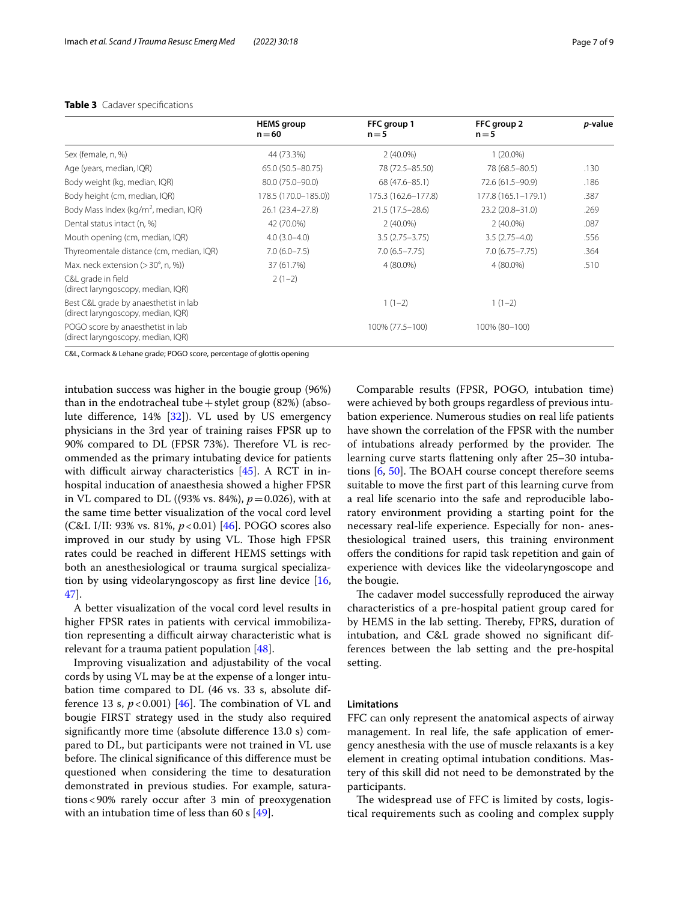#### <span id="page-6-0"></span>**Table 3** Cadaver specifications

|                                                                             | <b>HEMS</b> group<br>$n = 60$ | FFC group 1<br>$n = 5$ | FFC group 2<br>$n = 5$ | <i>p</i> -value |
|-----------------------------------------------------------------------------|-------------------------------|------------------------|------------------------|-----------------|
| Sex (female, n, %)                                                          | 44 (73.3%)                    | $2(40.0\%)$            | $1(20.0\%)$            |                 |
| Age (years, median, IQR)                                                    | 65.0 (50.5 - 80.75)           | 78 (72.5-85.50)        | 78 (68.5 - 80.5)       | .130            |
| Body weight (kg, median, IQR)                                               | 80.0 (75.0-90.0)              | 68 (47.6-85.1)         | 72.6 (61.5-90.9)       | .186            |
| Body height (cm, median, IQR)                                               | 178.5 (170.0-185.0))          | 175.3 (162.6-177.8)    | 177.8 (165.1-179.1)    | .387            |
| Body Mass Index (kg/m <sup>2</sup> , median, IQR)                           | 26.1 (23.4 - 27.8)            | $21.5(17.5 - 28.6)$    | 23.2 (20.8-31.0)       | .269            |
| Dental status intact (n, %)                                                 | 42 (70.0%)                    | $2(40.0\%)$            | $2(40.0\%)$            | .087            |
| Mouth opening (cm, median, IQR)                                             | $4.0(3.0-4.0)$                | $3.5(2.75 - 3.75)$     | $3.5(2.75-4.0)$        | .556            |
| Thyreomentale distance (cm, median, IQR)                                    | $7.0(6.0 - 7.5)$              | $7.0(6.5 - 7.75)$      | $7.0(6.75 - 7.75)$     | .364            |
| Max. neck extension (> 30°, n, %))                                          | 37 (61.7%)                    | 4 (80.0%)              | 4 (80.0%)              | .510            |
| C&L grade in field<br>(direct laryngoscopy, median, IQR)                    | $2(1-2)$                      |                        |                        |                 |
| Best C&L grade by anaesthetist in lab<br>(direct laryngoscopy, median, IQR) |                               | $1(1-2)$               | $1(1-2)$               |                 |
| POGO score by anaesthetist in lab<br>(direct laryngoscopy, median, IQR)     |                               | 100% (77.5-100)        | 100% (80-100)          |                 |

C&L, Cormack & Lehane grade; POGO score, percentage of glottis opening

intubation success was higher in the bougie group (96%) than in the endotracheal tube + stylet group  $(82%)$  (absolute diference, 14% [[32](#page-8-13)]). VL used by US emergency physicians in the 3rd year of training raises FPSR up to 90% compared to DL (FPSR 73%). Therefore VL is recommended as the primary intubating device for patients with difficult airway characteristics  $[45]$  $[45]$ . A RCT in inhospital inducation of anaesthesia showed a higher FPSR in VL compared to DL ((93% vs. 84%),  $p = 0.026$ ), with at the same time better visualization of the vocal cord level (C&L I/II: 93% vs. 81%, *p*<0.01) [[46\]](#page-8-25). POGO scores also improved in our study by using VL. Those high FPSR rates could be reached in diferent HEMS settings with both an anesthesiological or trauma surgical specialization by using videolaryngoscopy as first line device  $[16,$  $[16,$ [47\]](#page-8-27).

A better visualization of the vocal cord level results in higher FPSR rates in patients with cervical immobilization representing a difficult airway characteristic what is relevant for a trauma patient population [[48](#page-8-28)].

Improving visualization and adjustability of the vocal cords by using VL may be at the expense of a longer intubation time compared to DL (46 vs. 33 s, absolute difference 13 s,  $p < 0.001$ ) [[46](#page-8-25)]. The combination of VL and bougie FIRST strategy used in the study also required signifcantly more time (absolute diference 13.0 s) compared to DL, but participants were not trained in VL use before. The clinical significance of this difference must be questioned when considering the time to desaturation demonstrated in previous studies. For example, saturations<90% rarely occur after 3 min of preoxygenation with an intubation time of less than 60 s  $[49]$  $[49]$ .

Comparable results (FPSR, POGO, intubation time) were achieved by both groups regardless of previous intubation experience. Numerous studies on real life patients have shown the correlation of the FPSR with the number of intubations already performed by the provider. The learning curve starts fattening only after 25–30 intubations  $[6, 50]$  $[6, 50]$  $[6, 50]$ . The BOAH course concept therefore seems suitable to move the frst part of this learning curve from a real life scenario into the safe and reproducible laboratory environment providing a starting point for the necessary real-life experience. Especially for non- anesthesiological trained users, this training environment offers the conditions for rapid task repetition and gain of experience with devices like the videolaryngoscope and the bougie.

The cadaver model successfully reproduced the airway characteristics of a pre-hospital patient group cared for by HEMS in the lab setting. Thereby, FPRS, duration of intubation, and C&L grade showed no signifcant differences between the lab setting and the pre-hospital setting.

## **Limitations**

FFC can only represent the anatomical aspects of airway management. In real life, the safe application of emergency anesthesia with the use of muscle relaxants is a key element in creating optimal intubation conditions. Mastery of this skill did not need to be demonstrated by the participants.

The widespread use of FFC is limited by costs, logistical requirements such as cooling and complex supply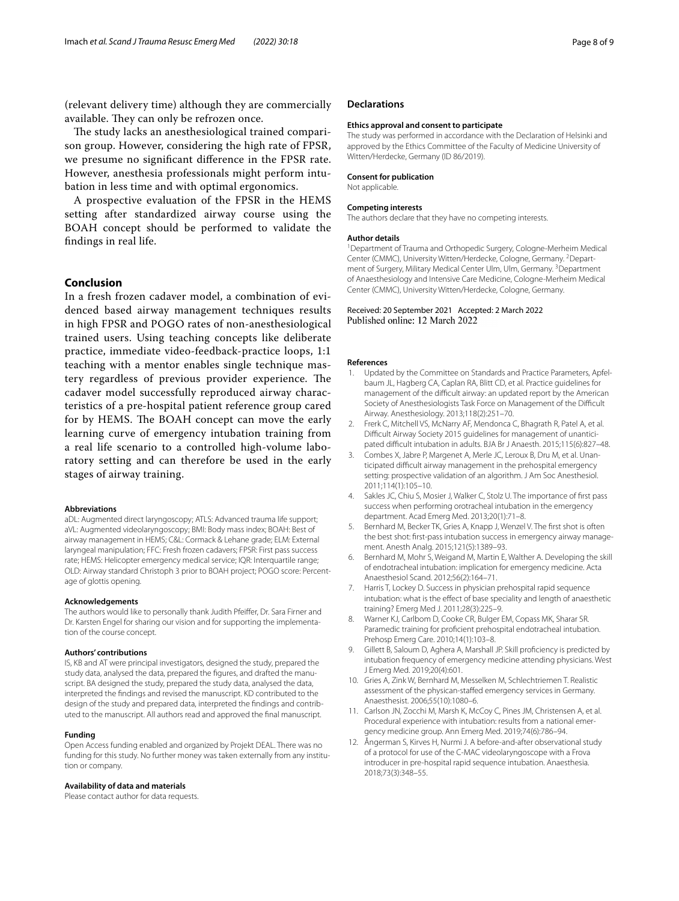(relevant delivery time) although they are commercially available. They can only be refrozen once.

The study lacks an anesthesiological trained comparison group. However, considering the high rate of FPSR, we presume no signifcant diference in the FPSR rate. However, anesthesia professionals might perform intubation in less time and with optimal ergonomics.

A prospective evaluation of the FPSR in the HEMS setting after standardized airway course using the BOAH concept should be performed to validate the fndings in real life.

## **Conclusion**

In a fresh frozen cadaver model, a combination of evidenced based airway management techniques results in high FPSR and POGO rates of non-anesthesiological trained users. Using teaching concepts like deliberate practice, immediate video-feedback-practice loops, 1:1 teaching with a mentor enables single technique mastery regardless of previous provider experience. The cadaver model successfully reproduced airway characteristics of a pre-hospital patient reference group cared for by HEMS. The BOAH concept can move the early learning curve of emergency intubation training from a real life scenario to a controlled high-volume laboratory setting and can therefore be used in the early stages of airway training.

#### **Abbreviations**

aDL: Augmented direct laryngoscopy; ATLS: Advanced trauma life support; aVL: Augmented videolaryngoscopy; BMI: Body mass index; BOAH: Best of airway management in HEMS; C&L: Cormack & Lehane grade; ELM: External laryngeal manipulation; FFC: Fresh frozen cadavers; FPSR: First pass success rate; HEMS: Helicopter emergency medical service; IQR: Interquartile range; OLD: Airway standard Christoph 3 prior to BOAH project; POGO score: Percentage of glottis opening.

#### **Acknowledgements**

The authors would like to personally thank Judith Pfeifer, Dr. Sara Firner and Dr. Karsten Engel for sharing our vision and for supporting the implementation of the course concept.

#### **Authors' contributions**

IS, KB and AT were principal investigators, designed the study, prepared the study data, analysed the data, prepared the fgures, and drafted the manuscript. BA designed the study, prepared the study data, analysed the data, interpreted the fndings and revised the manuscript. KD contributed to the design of the study and prepared data, interpreted the fndings and contributed to the manuscript. All authors read and approved the fnal manuscript.

#### **Funding**

Open Access funding enabled and organized by Projekt DEAL. There was no funding for this study. No further money was taken externally from any institution or company.

#### **Availability of data and materials**

Please contact author for data requests.

#### **Declarations**

#### **Ethics approval and consent to participate**

The study was performed in accordance with the Declaration of Helsinki and approved by the Ethics Committee of the Faculty of Medicine University of Witten/Herdecke, Germany (ID 86/2019).

#### **Consent for publication**

Not applicable.

#### **Competing interests**

The authors declare that they have no competing interests.

#### **Author details**

<sup>1</sup> Department of Trauma and Orthopedic Surgery, Cologne-Merheim Medical Center (CMMC), University Witten/Herdecke, Cologne, Germany. <sup>2</sup> Department of Surgery, Military Medical Center Ulm, Ulm, Germany.<sup>3</sup> Department of Anaesthesiology and Intensive Care Medicine, Cologne-Merheim Medical Center (CMMC), University Witten/Herdecke, Cologne, Germany.

#### Received: 20 September 2021 Accepted: 2 March 2022 Published online: 12 March 2022

#### **References**

- <span id="page-7-0"></span>1. Updated by the Committee on Standards and Practice Parameters, Apfelbaum JL, Hagberg CA, Caplan RA, Blitt CD, et al. Practice guidelines for management of the difficult airway: an updated report by the American Society of Anesthesiologists Task Force on Management of the Difficult Airway. Anesthesiology. 2013;118(2):251–70.
- <span id="page-7-1"></span>2. Frerk C, Mitchell VS, McNarry AF, Mendonca C, Bhagrath R, Patel A, et al. Difficult Airway Society 2015 guidelines for management of unanticipated difficult intubation in adults. BJA Br J Anaesth. 2015;115(6):827-48.
- <span id="page-7-2"></span>3. Combes X, Jabre P, Margenet A, Merle JC, Leroux B, Dru M, et al. Unanticipated difficult airway management in the prehospital emergency setting: prospective validation of an algorithm. J Am Soc Anesthesiol. 2011;114(1):105–10.
- <span id="page-7-3"></span>4. Sakles JC, Chiu S, Mosier J, Walker C, Stolz U. The importance of frst pass success when performing orotracheal intubation in the emergency department. Acad Emerg Med. 2013;20(1):71–8.
- <span id="page-7-4"></span>5. Bernhard M, Becker TK, Gries A, Knapp J, Wenzel V. The frst shot is often the best shot: frst-pass intubation success in emergency airway management. Anesth Analg. 2015;121(5):1389–93.
- <span id="page-7-5"></span>6. Bernhard M, Mohr S, Weigand M, Martin E, Walther A. Developing the skill of endotracheal intubation: implication for emergency medicine. Acta Anaesthesiol Scand. 2012;56(2):164–71.
- Harris T, Lockey D. Success in physician prehospital rapid sequence intubation: what is the effect of base speciality and length of anaesthetic training? Emerg Med J. 2011;28(3):225–9.
- 8. Warner KJ, Carlbom D, Cooke CR, Bulger EM, Copass MK, Sharar SR. Paramedic training for proficient prehospital endotracheal intubation. Prehosp Emerg Care. 2010;14(1):103–8.
- <span id="page-7-6"></span>9. Gillett B, Saloum D, Aghera A, Marshall JP. Skill proficiency is predicted by intubation frequency of emergency medicine attending physicians. West J Emerg Med. 2019;20(4):601.
- <span id="page-7-7"></span>10. Gries A, Zink W, Bernhard M, Messelken M, Schlechtriemen T. Realistic assessment of the physican-stafed emergency services in Germany. Anaesthesist. 2006;55(10):1080–6.
- <span id="page-7-8"></span>11. Carlson JN, Zocchi M, Marsh K, McCoy C, Pines JM, Christensen A, et al. Procedural experience with intubation: results from a national emergency medicine group. Ann Emerg Med. 2019;74(6):786–94.
- <span id="page-7-9"></span>12. Ångerman S, Kirves H, Nurmi J. A before-and-after observational study of a protocol for use of the C-MAC videolaryngoscope with a Frova introducer in pre-hospital rapid sequence intubation. Anaesthesia. 2018;73(3):348–55.